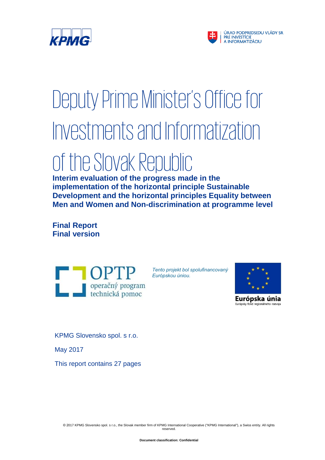



# Deputy Prime Minister's Office for Investments and Informatization

## of the Slovak Republic

**Interim evaluation of the progress made in the implementation of the horizontal principle Sustainable Development and the horizontal principles Equality between Men and Women and Non-discrimination at programme level**

**Final Report Final version**



*Tento projekt bol spolufinancovaný Európskou úniou.* 



Európska únia Európsky fond regionálneho rozvoja

KPMG Slovensko spol. s r.o.

May 2017

This report contains 27 pages

© 2017 KPMG Slovensko spol. s r.o., the Slovak member firm of KPMG International Cooperative ("KPMG International"), a Swiss entity. All rights reserved.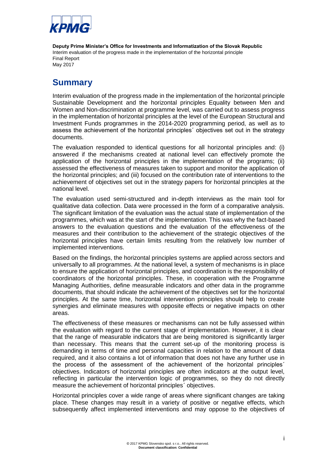

### <span id="page-1-0"></span>**Summary**

Interim evaluation of the progress made in the implementation of the horizontal principle Sustainable Development and the horizontal principles Equality between Men and Women and Non-discrimination at programme level, was carried out to assess progress in the implementation of horizontal principles at the level of the European Structural and Investment Funds programmes in the 2014-2020 programming period, as well as to assess the achievement of the horizontal principles´ objectives set out in the strategy documents.

The evaluation responded to identical questions for all horizontal principles and: (i) answered if the mechanisms created at national level can effectively promote the application of the horizontal principles in the implementation of the programs; (ii) assessed the effectiveness of measures taken to support and monitor the application of the horizontal principles; and (iii) focused on the contribution rate of interventions to the achievement of objectives set out in the strategy papers for horizontal principles at the national level.

The evaluation used semi-structured and in-depth interviews as the main tool for qualitative data collection. Data were processed in the form of a comparative analysis. The significant limitation of the evaluation was the actual state of implementation of the programmes, which was at the start of the implementation. This was why the fact-based answers to the evaluation questions and the evaluation of the effectiveness of the measures and their contribution to the achievement of the strategic objectives of the horizontal principles have certain limits resulting from the relatively low number of implemented interventions.

Based on the findings, the horizontal principles systems are applied across sectors and universally to all programmes. At the national level, a system of mechanisms is in place to ensure the application of horizontal principles, and coordination is the responsibility of coordinators of the horizontal principles. These, in cooperation with the Programme Managing Authorities, define measurable indicators and other data in the programme documents, that should indicate the achievement of the objectives set for the horizontal principles. At the same time, horizontal intervention principles should help to create synergies and eliminate measures with opposite effects or negative impacts on other areas.

The effectiveness of these measures or mechanisms can not be fully assessed within the evaluation with regard to the current stage of implementation. However, it is clear that the range of measurable indicators that are being monitored is significantly larger than necessary. This means that the current set-up of the monitoring process is demanding in terms of time and personal capacities in relation to the amount of data required, and it also contains a lot of information that does not have any further use in the process of the assessment of the achievement of the horizontal principles´ objectives. Indicators of horizontal principles are often indicators at the output level, reflecting in particular the intervention logic of programmes, so they do not directly measure the achievement of horizontal principles´ objectives.

Horizontal principles cover a wide range of areas where significant changes are taking place. These changes may result in a variety of positive or negative effects, which subsequently affect implemented interventions and may oppose to the objectives of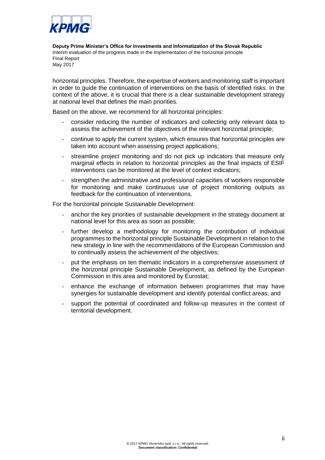

horizontal principles. Therefore, the expertise of workers and monitoring staff is important in order to guide the continuation of interventions on the basis of identified risks. In the context of the above, it is crucial that there is a clear sustainable development strategy at national level that defines the main priorities.

Based on the above, we recommend for all horizontal principles:

- consider reducing the number of indicators and collecting only relevant data to assess the achievement of the objectives of the relevant horizontal principle;
- continue to apply the current system, which ensures that horizontal principles are taken into account when assessing project applications;
- streamline project monitoring and do not pick up indicators that measure only marginal effects in relation to horizontal principles as the final impacts of ESIF interventions can be monitored at the level of context indicators;
- strengthen the administrative and professional capacities of workers responsible for monitoring and make continuous use of project monitoring outputs as feedback for the continuation of interventions.

For the horizontal principle Sustainable Development:

- anchor the key priorities of sustainable development in the strategy document at national level for this area as soon as possible;
- further develop a methodology for monitoring the contribution of individual programmes to the horizontal principle Sustainable Development in relation to the new strategy in line with the recommendations of the European Commission and to continually assess the achievement of the objectives;
- put the emphasis on ten thematic indicators in a comprehensive assessment of the horizontal principle Sustainable Development, as defined by the European Commission in this area and monitored by Eurostat;
- enhance the exchange of information between programmes that may have synergies for sustainable development and identify potential conflict areas; and
- support the potential of coordinated and follow-up measures in the context of territorial development.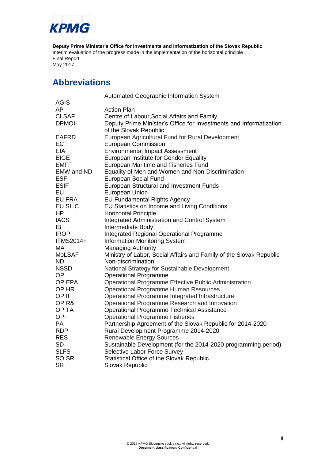

**Deputy Prime Minister's Office for Investments and Informatization of the Slovak Republic** Interim evaluation of the progress made in the implementation of the horizontal principle Sustainable Development and the horizontal principles Equality between Men and Women and Final Report May 2017

## <span id="page-3-0"></span>**Abbreviations**

|                | Automated Geographic Information System                             |
|----------------|---------------------------------------------------------------------|
| <b>AGIS</b>    |                                                                     |
| AP             | <b>Action Plan</b>                                                  |
| <b>CLSAF</b>   | Centre of Labour, Social Affairs and Family                         |
| <b>DPMOII</b>  | Deputy Prime Minister's Office for Investments and Informatization  |
|                | of the Slovak Republic                                              |
| <b>EAFRD</b>   | European Agricultural Fund for Rural Development                    |
| EC             | <b>European Commission</b>                                          |
| <b>EIA</b>     | <b>Environmental Impact Assessment</b>                              |
| <b>EIGE</b>    | European Institute for Gender Equality                              |
| <b>EMFF</b>    | European Maritime and Fisheries Fund                                |
| EMW and ND     | Equality of Men and Women and Non-Discrimination                    |
| <b>ESF</b>     | <b>European Social Fund</b>                                         |
| <b>ESIF</b>    | European Structural and Investment Funds                            |
| EU             | European Union                                                      |
| EU FRA         | <b>EU Fundamental Rights Agency</b>                                 |
| <b>EU SILC</b> | EU Statistics on Income and Living Conditions                       |
| HP             | <b>Horizontal Principle</b>                                         |
| <b>IACS</b>    | <b>Integrated Administration and Control System</b>                 |
| IB.            | Intermediate Body                                                   |
| <b>IROP</b>    | <b>Integrated Regional Operational Programme</b>                    |
| ITMS2014+      | <b>Information Monitoring System</b>                                |
| MA             | <b>Managing Authority</b>                                           |
| <b>MoLSAF</b>  | Ministry of Labor, Social Affairs and Family of the Slovak Republic |
| <b>ND</b>      | Non-discrimination                                                  |
| <b>NSSD</b>    | National Strategy for Sustainable Development                       |
| <b>OP</b>      | <b>Operational Programme</b>                                        |
| OP EPA         | Operational Programme Effective Public Administration               |
| OP HR          | <b>Operational Programme Human Resources</b>                        |
| OP II          | Operational Programme Integrated Infrastructure                     |
| OP R&I         | Operational Programme Research and Innovation                       |
| OP TA          | <b>Operational Programme Technical Assistance</b>                   |
| <b>OPF</b>     | <b>Operational Programme Fisheries</b>                              |
| PA             | Partnership Agreement of the Slovak Republic for 2014-2020          |
| <b>RDP</b>     | Rural Development Programme 2014-2020                               |
| <b>RES</b>     | <b>Renewable Energy Sources</b>                                     |
| <b>SD</b>      | Sustainable Development (for the 2014-2020 programming period)      |
| <b>SLFS</b>    | Selective Labor Force Survey                                        |
| SO SR          | Statistical Office of the Slovak Republic                           |
| <b>SR</b>      | <b>Slovak Republic</b>                                              |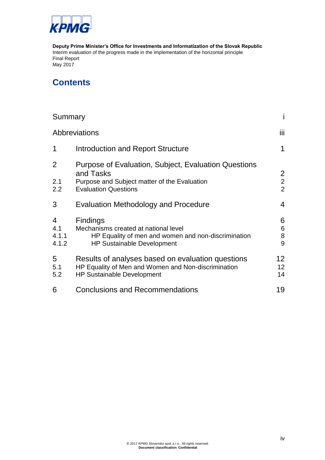

**Deputy Prime Minister's Office for Investments and Informatization of the Slovak Republic** Interim evaluation of the progress made in the implementation of the horizontal principle Sustainable Development and the horizontal principles Equality between Men and Women and Final Report May 2017

## **Contents**

| Summary                                 |                                                                                                                                                     | i                                                  |
|-----------------------------------------|-----------------------------------------------------------------------------------------------------------------------------------------------------|----------------------------------------------------|
| Abbreviations                           |                                                                                                                                                     | iii.                                               |
| $\mathbf 1$                             | <b>Introduction and Report Structure</b>                                                                                                            | 1                                                  |
| 2<br>2.1<br>2.2                         | Purpose of Evaluation, Subject, Evaluation Questions<br>and Tasks<br>Purpose and Subject matter of the Evaluation<br><b>Evaluation Questions</b>    | $\overline{2}$<br>$\overline{2}$<br>$\overline{2}$ |
| 3                                       | <b>Evaluation Methodology and Procedure</b>                                                                                                         | $\overline{4}$                                     |
| $\overline{4}$<br>4.1<br>4.1.1<br>4.1.2 | <b>Findings</b><br>Mechanisms created at national level<br>HP Equality of men and women and non-discrimination<br><b>HP Sustainable Development</b> | 6<br>6<br>8<br>9                                   |
| 5<br>5.1<br>5.2                         | Results of analyses based on evaluation questions<br>HP Equality of Men and Women and Non-discrimination<br><b>HP Sustainable Development</b>       | 12<br>12<br>14                                     |
| 6                                       | <b>Conclusions and Recommendations</b>                                                                                                              | 19                                                 |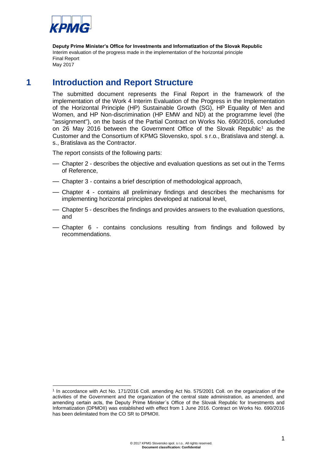

## **1 Introduction and Report Structure**

<span id="page-5-0"></span>The submitted document represents the Final Report in the framework of the implementation of the Work 4 Interim Evaluation of the Progress in the Implementation of the Horizontal Principle (HP) Sustainable Growth (SG), HP Equality of Men and Women, and HP Non-discrimination (HP EMW and ND) at the programme level (the "assignment"), on the basis of the Partial Contract on Works No. 690/2016, concluded on 26 May 2016 between the Government Office of the Slovak Republic<sup>1</sup> as the Customer and the Consortium of KPMG Slovensko, spol. s r.o., Bratislava and stengl. a. s., Bratislava as the Contractor.

The report consists of the following parts:

- Chapter 2 describes the objective and evaluation questions as set out in the Terms of Reference,
- Chapter 3 contains a brief description of methodological approach,
- Chapter 4 contains all preliminary findings and describes the mechanisms for implementing horizontal principles developed at national level,
- Chapter 5 describes the findings and provides answers to the evaluation questions, and
- Chapter 6 contains conclusions resulting from findings and followed by recommendations.

<sup>1</sup> 1 In accordance with Act No. 171/2016 Coll. amending Act No. 575/2001 Coll. on the organization of the activities of the Government and the organization of the central state administration, as amended, and amending certain acts, the Deputy Prime Minister´s Office of the Slovak Republic for Investments and Informatization (DPMOII) was established with effect from 1 June 2016. Contract on Works No. 690/2016 has been delimitated from the CO SR to DPMOII.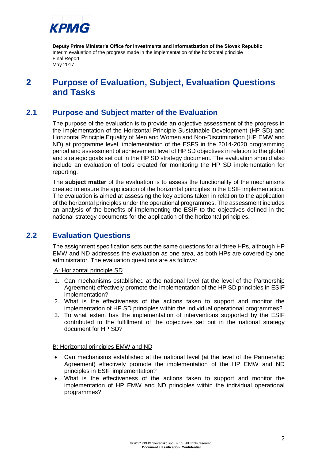

## <span id="page-6-0"></span>**2 Purpose of Evaluation, Subject, Evaluation Questions and Tasks**

#### **2.1 Purpose and Subject matter of the Evaluation**

<span id="page-6-1"></span>The purpose of the evaluation is to provide an objective assessment of the progress in the implementation of the Horizontal Principle Sustainable Development (HP SD) and Horizontal Principle Equality of Men and Women and Non-Discrimination (HP EMW and ND) at programme level, implementation of the ESFS in the 2014-2020 programming period and assessment of achievement level of HP SD objectives in relation to the global and strategic goals set out in the HP SD strategy document. The evaluation should also include an evaluation of tools created for monitoring the HP SD implementation for reporting.

The **subject matter** of the evaluation is to assess the functionality of the mechanisms created to ensure the application of the horizontal principles in the ESIF implementation. The evaluation is aimed at assessing the key actions taken in relation to the application of the horizontal principles under the operational programmes. The assessment includes an analysis of the benefits of implementing the ESIF to the objectives defined in the national strategy documents for the application of the horizontal principles.

#### **2.2 Evaluation Questions**

<span id="page-6-2"></span>The assignment specification sets out the same questions for all three HPs, although HP EMW and ND addresses the evaluation as one area, as both HPs are covered by one administrator. The evaluation questions are as follows:

A: Horizontal principle SD

- 1. Can mechanisms established at the national level (at the level of the Partnership Agreement) effectively promote the implementation of the HP SD principles in ESIF implementation?
- 2. What is the effectiveness of the actions taken to support and monitor the implementation of HP SD principles within the individual operational programmes?
- 3. To what extent has the implementation of interventions supported by the ESIF contributed to the fulfillment of the objectives set out in the national strategy document for HP SD?

#### B: Horizontal principles EMW and ND

- Can mechanisms established at the national level (at the level of the Partnership Agreement) effectively promote the implementation of the HP EMW and ND principles in ESIF implementation?
- What is the effectiveness of the actions taken to support and monitor the implementation of HP EMW and ND principles within the individual operational programmes?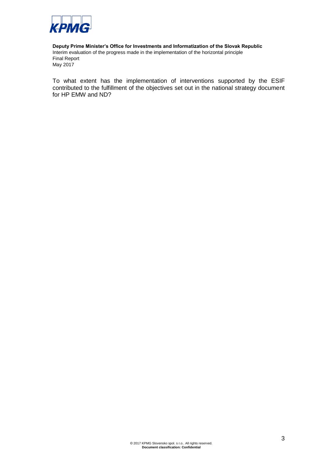

**Deputy Prime Minister's Office for Investments and Informatization of the Slovak Republic** Interim evaluation of the progress made in the implementation of the horizontal principle Sustainable Development and the horizontal principles Equality between Men and Women and Final Report May 2017

To what extent has the implementation of interventions supported by the ESIF contributed to the fulfillment of the objectives set out in the national strategy document for HP EMW and ND?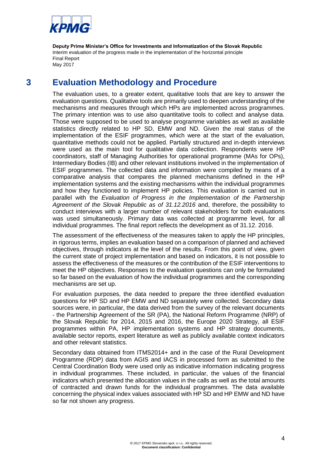

## **3 Evaluation Methodology and Procedure**

<span id="page-8-0"></span>The evaluation uses, to a greater extent, qualitative tools that are key to answer the evaluation questions. Qualitative tools are primarily used to deepen understanding of the mechanisms and measures through which HPs are implemented across programmes. The primary intention was to use also quantitative tools to collect and analyse data. Those were supposed to be used to analyse programme variables as well as available statistics directly related to HP SD, EMW and ND. Given the real status of the implementation of the ESIF programmes, which were at the start of the evaluation, quantitative methods could not be applied. Partially structured and in-depth interviews were used as the main tool for qualitative data collection. Respondents were HP coordinators, staff of Managing Authorities for operational programme (MAs for OPs), Intermediary Bodies (IB) and other relevant institutions involved in the implementation of ESIF programmes. The collected data and information were compiled by means of a comparative analysis that compares the planned mechanisms defined in the HP implementation systems and the existing mechanisms within the individual programmes and how they functioned to implement HP policies. This evaluation is carried out in parallel with the *Evaluation of Progress in the Implementation of the Partnership Agreement of the Slovak Republic as of 31.12.2016* and, therefore, the possibility to conduct interviews with a larger number of relevant stakeholders for both evaluations was used simultaneously. Primary data was collected at programme level, for all individual programmes. The final report reflects the development as of 31.12. 2016.

The assessment of the effectiveness of the measures taken to apply the HP principles, in rigorous terms, implies an evaluation based on a comparison of planned and achieved objectives, through indicators at the level of the results. From this point of view, given the current state of project implementation and based on indicators, it is not possible to assess the effectiveness of the measures or the contribution of the ESIF interventions to meet the HP objectives. Responses to the evaluation questions can only be formulated so far based on the evaluation of how the individual programmes and the corresponding mechanisms are set up.

For evaluation purposes, the data needed to prepare the three identified evaluation questions for HP SD and HP EMW and ND separately were collected. Secondary data sources were, in particular, the data derived from the survey of the relevant documents - the Partnership Agreement of the SR (PA), the National Reform Programme (NRP) of the Slovak Republic for 2014, 2015 and 2016, the Europe 2020 Strategy, all ESIF programmes within PA, HP implementation systems and HP strategy documents, available sector reports, expert literature as well as publicly available context indicators and other relevant statistics.

Secondary data obtained from ITMS2014+ and in the case of the Rural Development Programme (RDP) data from AGIS and IACS in processed form as submitted to the Central Coordination Body were used only as indicative information indicating progress in individual programmes. These included, in particular, the values of the financial indicators which presented the allocation values in the calls as well as the total amounts of contracted and drawn funds for the individual programmes. The data available concerning the physical index values associated with HP SD and HP EMW and ND have so far not shown any progress.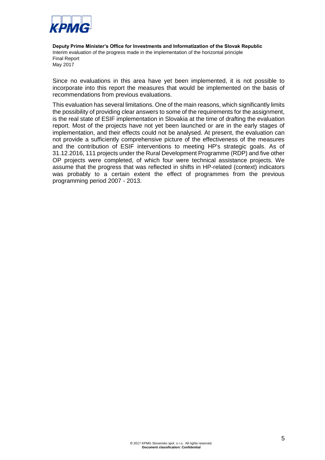

Since no evaluations in this area have yet been implemented, it is not possible to incorporate into this report the measures that would be implemented on the basis of recommendations from previous evaluations.

This evaluation has several limitations. One of the main reasons, which significantly limits the possibility of providing clear answers to some of the requirements for the assignment, is the real state of ESIF implementation in Slovakia at the time of drafting the evaluation report. Most of the projects have not yet been launched or are in the early stages of implementation, and their effects could not be analysed. At present, the evaluation can not provide a sufficiently comprehensive picture of the effectiveness of the measures and the contribution of ESIF interventions to meeting HP's strategic goals. As of 31.12.2016, 111 projects under the Rural Development Programme (RDP) and five other OP projects were completed, of which four were technical assistance projects. We assume that the progress that was reflected in shifts in HP-related (context) indicators was probably to a certain extent the effect of programmes from the previous programming period 2007 - 2013.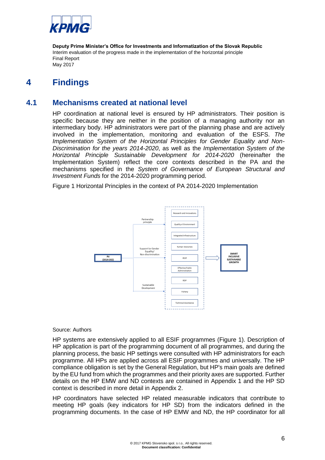

## <span id="page-10-0"></span>**4 Findings**

#### **4.1 Mechanisms created at national level**

<span id="page-10-1"></span>HP coordination at national level is ensured by HP administrators. Their position is specific because they are neither in the position of a managing authority nor an intermediary body. HP administrators were part of the planning phase and are actively involved in the implementation, monitoring and evaluation of the ESFS. *The Implementation System of the Horizontal Principles for Gender Equality and Non-Discrimination for the years 2014-2020*, as well as the *Implementation System of the Horizontal Principle Sustainable Development for 2014-2020* (hereinafter the Implementation System) reflect the core contexts described in the PA and the mechanisms specified in the *System of Governance of European Structural and Investment Funds* for the 2014-2020 programming period.

Figure 1 Horizontal Principles in the context of PA 2014-2020 Implementation



#### Source: Authors

HP systems are extensively applied to all ESIF programmes (Figure 1). Description of HP application is part of the programming document of all programmes, and during the planning process, the basic HP settings were consulted with HP administrators for each programme. All HPs are applied across all ESIF programmes and universally. The HP compliance obligation is set by the General Regulation, but HP's main goals are defined by the EU fund from which the programmes and their priority axes are supported. Further details on the HP EMW and ND contexts are contained in Appendix 1 and the HP SD context is described in more detail in Appendix 2.

HP coordinators have selected HP related measurable indicators that contribute to meeting HP goals (key indicators for HP SD) from the indicators defined in the programming documents. In the case of HP EMW and ND, the HP coordinator for all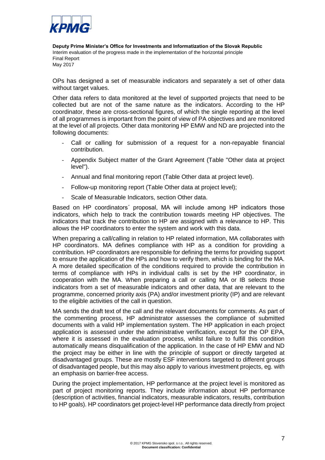

OPs has designed a set of measurable indicators and separately a set of other data without target values.

Other data refers to data monitored at the level of supported projects that need to be collected but are not of the same nature as the indicators. According to the HP coordinator, these are cross-sectional figures, of which the single reporting at the level of all programmes is important from the point of view of PA objectives and are monitored at the level of all projects. Other data monitoring HP EMW and ND are projected into the following documents:

- Call or calling for submission of a request for a non-repayable financial contribution.
- Appendix Subject matter of the Grant Agreement (Table "Other data at project level").
- Annual and final monitoring report (Table Other data at project level).
- Follow-up monitoring report (Table Other data at project level);
- Scale of Measurable Indicators, section Other data.

Based on HP coordinators´ proposal, MA will include among HP indicators those indicators, which help to track the contribution towards meeting HP objectives. The indicators that track the contribution to HP are assigned with a relevance to HP. This allows the HP coordinators to enter the system and work with this data.

When preparing a call/calling in relation to HP related information, MA collaborates with HP coordinators. MA defines compliance with HP as a condition for providing a contribution. HP coordinators are responsible for defining the terms for providing support to ensure the application of the HPs and how to verify them, which is binding for the MA. A more detailed specification of the conditions required to provide the contribution in terms of compliance with HPs in individual calls is set by the HP coordinator, in cooperation with the MA. When preparing a call or calling MA or IB selects those indicators from a set of measurable indicators and other data, that are relevant to the programme, concerned priority axis (PA) and/or investment priority (IP) and are relevant to the eligible activities of the call in question.

MA sends the draft text of the call and the relevant documents for comments. As part of the commenting process, HP administrator assesses the compliance of submitted documents with a valid HP implementation system. The HP application in each project application is assessed under the administrative verification, except for the OP EPA, where it is assessed in the evaluation process, whilst failure to fulfill this condition automatically means disqualification of the application. In the case of HP EMW and ND the project may be either in line with the principle of support or directly targeted at disadvantaged groups. These are mostly ESF interventions targeted to different groups of disadvantaged people, but this may also apply to various investment projects, eg. with an emphasis on barrier-free access.

During the project implementation, HP performance at the project level is monitored as part of project monitoring reports. They include information about HP performance (description of activities, financial indicators, measurable indicators, results, contribution to HP goals). HP coordinators get project-level HP performance data directly from project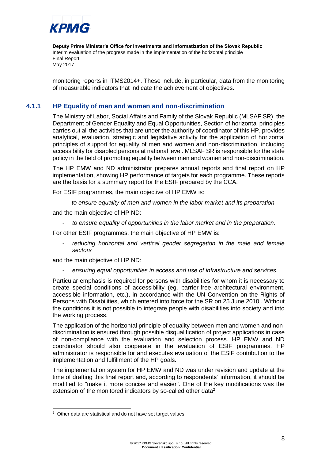

<span id="page-12-0"></span>monitoring reports in ITMS2014+. These include, in particular, data from the monitoring of measurable indicators that indicate the achievement of objectives.

#### **4.1.1 HP Equality of men and women and non-discrimination**

The Ministry of Labor, Social Affairs and Family of the Slovak Republic (MLSAF SR), the Department of Gender Equality and Equal Opportunities, Section of horizontal principles carries out all the activities that are under the authority of coordinator of this HP, provides analytical, evaluation, strategic and legislative activity for the application of horizontal principles of support for equality of men and women and non-discrimination, including accessibility for disabled persons at national level. MLSAF SR is responsible for the state policy in the field of promoting equality between men and women and non-discrimination.

The HP EMW and ND administrator prepares annual reports and final report on HP implementation, showing HP performance of targets for each programme. These reports are the basis for a summary report for the ESIF prepared by the CCA.

For ESIF programmes, the main objective of HP EMW is:

*- to ensure equality of men and women in the labor market and its preparation*

and the main objective of HP ND:

- *to ensure equality of opportunities in the labor market and in the preparation.*

For other ESIF programmes, the main objective of HP EMW is:

reducing horizontal and vertical gender segregation in the male and female *sectors*

and the main objective of HP ND:

- *ensuring equal opportunities in access and use of infrastructure and services.*

Particular emphasis is required for persons with disabilities for whom it is necessary to create special conditions of accessibility (eg. barrier-free architectural environment, accessible information, etc.), in accordance with the UN Convention on the Rights of Persons with Disabilities, which entered into force for the SR on 25 June 2010 . Without the conditions it is not possible to integrate people with disabilities into society and into the working process.

The application of the horizontal principle of equality between men and women and nondiscrimination is ensured through possible disqualification of project applications in case of non-compliance with the evaluation and selection process. HP EMW and ND coordinator should also cooperate in the evaluation of ESIF programmes. HP administrator is responsible for and executes evaluation of the ESIF contribution to the implementation and fulfillment of the HP goals.

The implementation system for HP EMW and ND was under revision and update at the time of drafting this final report and, according to respondents´ information, it should be modified to "make it more concise and easier". One of the key modifications was the extension of the monitored indicators by so-called other data<sup>2</sup>.

1

<sup>&</sup>lt;sup>2</sup> Other data are statistical and do not have set target values.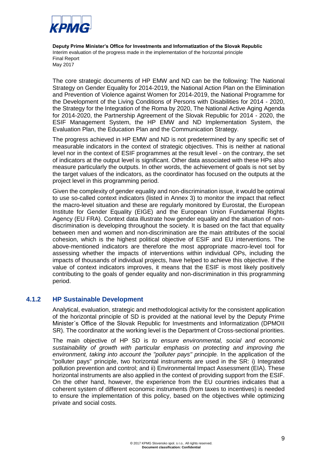

The core strategic documents of HP EMW and ND can be the following: The National Strategy on Gender Equality for 2014-2019, the National Action Plan on the Elimination and Prevention of Violence against Women for 2014-2019, the National Programme for the Development of the Living Conditions of Persons with Disabilities for 2014 - 2020, the Strategy for the Integration of the Roma by 2020, The National Active Aging Agenda for 2014-2020, the Partnership Agreement of the Slovak Republic for 2014 - 2020, the ESIF Management System, the HP EMW and ND Implementation System, the Evaluation Plan, the Education Plan and the Communication Strategy.

The progress achieved in HP EMW and ND is not predetermined by any specific set of measurable indicators in the context of strategic objectives. This is neither at national level nor in the context of ESIF programmes at the result level - on the contrary, the set of indicators at the output level is significant. Other data associated with these HPs also measure particularly the outputs. In other words, the achievement of goals is not set by the target values of the indicators, as the coordinator has focused on the outputs at the project level in this programming period.

Given the complexity of gender equality and non-discrimination issue, it would be optimal to use so-called context indicators (listed in Annex 3) to monitor the impact that reflect the macro-level situation and these are regularly monitored by Eurostat, the European Institute for Gender Equality (EIGE) and the European Union Fundamental Rights Agency (EU FRA). Context data illustrate how gender equality and the situation of nondiscrimination is developing throughout the society. It is based on the fact that equality between men and women and non-discrimination are the main attributes of the social cohesion, which is the highest political objective of ESIF and EU interventions. The above-mentioned indicators are therefore the most appropriate macro-level tool for assessing whether the impacts of interventions within individual OPs, including the impacts of thousands of individual projects, have helped to achieve this objective. If the value of context indicators improves, it means that the ESIF is most likely positively contributing to the goals of gender equality and non-discrimination in this programming period.

#### **4.1.2 HP Sustainable Development**

<span id="page-13-0"></span>Analytical, evaluation, strategic and methodological activity for the consistent application of the horizontal principle of SD is provided at the national level by the Deputy Prime Minister´s Office of the Slovak Republic for Investments and Informatization (DPMOII SR). The coordinator at the working level is the Department of Cross-sectional priorities.

The main objective of HP SD is *to ensure environmental, social and economic sustainability of growth with particular emphasis on protecting and improving the environment, taking into account the "polluter pays" principle.* In the application of the "polluter pays" principle, two horizontal instruments are used in the SR: i) Integrated pollution prevention and control; and ii) Environmental Impact Assessment (EIA). These horizontal instruments are also applied in the context of providing support from the ESIF. On the other hand, however, the experience from the EU countries indicates that a coherent system of different economic instruments (from taxes to incentives) is needed to ensure the implementation of this policy, based on the objectives while optimizing private and social costs.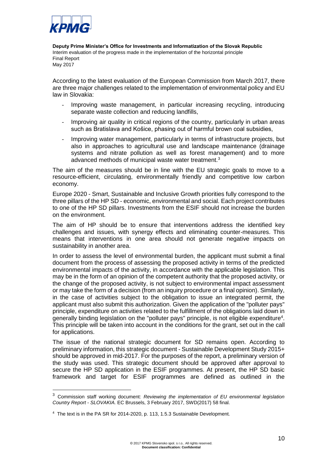

-

**Deputy Prime Minister's Office for Investments and Informatization of the Slovak Republic** Interim evaluation of the progress made in the implementation of the horizontal principle  $\mathsf F$ inal Report $\mathsf F$ May 2017 Final Report

According to the latest evaluation of the European Commission from March 2017, there are three major challenges related to the implementation of environmental policy and EU law in Slovakia:

- Improving waste management, in particular increasing recycling, introducing separate waste collection and reducing landfills,
- Improving air quality in critical regions of the country, particularly in urban areas such as Bratislava and Košice, phasing out of harmful brown coal subsidies,
- Improving water management, particularly in terms of infrastructure projects, but also in approaches to agricultural use and landscape maintenance (drainage systems and nitrate pollution as well as forest management) and to more advanced methods of municipal waste water treatment.<sup>3</sup>

The aim of the measures should be in line with the EU strategic goals to move to a resource-efficient, circulating, environmentally friendly and competitive low carbon economy.

Europe 2020 - Smart, Sustainable and Inclusive Growth priorities fully correspond to the three pillars of the HP SD - economic, environmental and social. Each project contributes to one of the HP SD pillars. Investments from the ESIF should not increase the burden on the environment.

The aim of HP should be to ensure that interventions address the identified key challenges and issues, with synergy effects and eliminating counter-measures. This means that interventions in one area should not generate negative impacts on sustainability in another area.

In order to assess the level of environmental burden, the applicant must submit a final document from the process of assessing the proposed activity in terms of the predicted environmental impacts of the activity, in accordance with the applicable legislation. This may be in the form of an opinion of the competent authority that the proposed activity, or the change of the proposed activity, is not subject to environmental impact assessment or may take the form of a decision (from an inquiry procedure or a final opinion). Similarly, in the case of activities subject to the obligation to issue an integrated permit, the applicant must also submit this authorization. Given the application of the "polluter pays" principle, expenditure on activities related to the fulfillment of the obligations laid down in generally binding legislation on the "polluter pays" principle, is not eligible expenditure<sup>4</sup>. This principle will be taken into account in the conditions for the grant, set out in the call for applications.

The issue of the national strategic document for SD remains open. According to preliminary information, this strategic document - Sustainable Development Study 2015+ should be approved in mid-2017. For the purposes of the report, a preliminary version of the study was used. This strategic document should be approved after approval to secure the HP SD application in the ESIF programmes. At present, the HP SD basic framework and target for ESIF programmes are defined as outlined in the

<sup>3</sup> Commission staff working document: *Reviewing the implementation of EU environmental legislation Country Report - SLOVAKIA.* EC Brussels, 3 February 2017, SWD(2017) 58 final.

<sup>&</sup>lt;sup>4</sup> The text is in the PA SR for 2014-2020, p. 113, 1.5.3 Sustainable Development.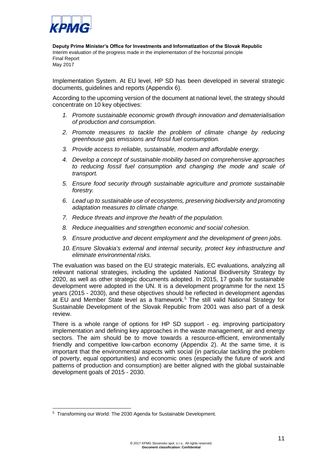

Implementation System. At EU level, HP SD has been developed in several strategic documents, guidelines and reports (Appendix 6).

According to the upcoming version of the document at national level, the strategy should concentrate on 10 key objectives:

- *1. Promote sustainable economic growth through innovation and dematerialisation of production and consumption.*
- *2. Promote measures to tackle the problem of climate change by reducing greenhouse gas emissions and fossil fuel consumption.*
- *3. Provide access to reliable, sustainable, modern and affordable energy.*
- *4. Develop a concept of sustainable mobility based on comprehensive approaches to reducing fossil fuel consumption and changing the mode and scale of transport.*
- *5. Ensure food security through sustainable agriculture and promote sustainable forestry.*
- *6. Lead up to sustainable use of ecosystems, preserving biodiversity and promoting adaptation measures to climate change.*
- *7. Reduce threats and improve the health of the population.*
- *8. Reduce inequalities and strengthen economic and social cohesion.*
- *9. Ensure productive and decent employment and the development of green jobs.*
- *10. Ensure Slovakia's external and internal security, protect key infrastructure and eliminate environmental risks.*

The evaluation was based on the EU strategic materials, EC evaluations, analyzing all relevant national strategies, including the updated National Biodiversity Strategy by 2020, as well as other strategic documents adopted. In 2015, 17 goals for sustainable development were adopted in the UN. It is a development programme for the next 15 years (2015 - 2030), and these objectives should be reflected in development agendas at EU and Member State level as a framework.<sup>5</sup> The still valid National Strategy for Sustainable Development of the Slovak Republic from 2001 was also part of a desk review.

There is a whole range of options for HP SD support - eg. improving participatory implementation and defining key approaches in the waste management, air and energy sectors. The aim should be to move towards a resource-efficient, environmentally friendly and competitive low-carbon economy (Appendix 2). At the same time, it is important that the environmental aspects with social (in particular tackling the problem of poverty, equal opportunities) and economic ones (especially the future of work and patterns of production and consumption) are better aligned with the global sustainable development goals of 2015 - 2030.

1

<sup>5</sup> Transforming our World: The 2030 Agenda for Sustainable Development.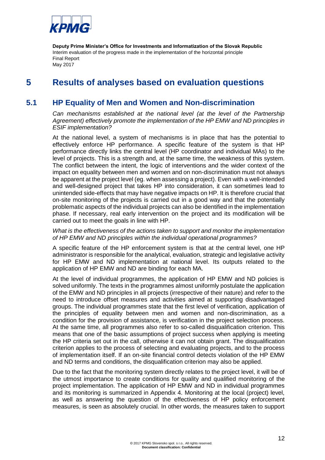

## <span id="page-16-0"></span>**5 Results of analyses based on evaluation questions**

#### **5.1 HP Equality of Men and Women and Non-discrimination**

<span id="page-16-1"></span>*Can mechanisms established at the national level (at the level of the Partnership Agreement) effectively promote the implementation of the HP EMW and ND principles in ESIF implementation?*

At the national level, a system of mechanisms is in place that has the potential to effectively enforce HP performance. A specific feature of the system is that HP performance directly links the central level (HP coordinator and individual MAs) to the level of projects. This is a strength and, at the same time, the weakness of this system. The conflict between the intent, the logic of interventions and the wider context of the impact on equality between men and women and on non-discrimination must not always be apparent at the project level (eg. when assessing a project). Even with a well-intended and well-designed project that takes HP into consideration, it can sometimes lead to unintended side-effects that may have negative impacts on HP. It is therefore crucial that on-site monitoring of the projects is carried out in a good way and that the potentially problematic aspects of the individual projects can also be identified in the implementation phase. If necessary, real early intervention on the project and its modification will be carried out to meet the goals in line with HP.

#### *What is the effectiveness of the actions taken to support and monitor the implementation of HP EMW and ND principles within the individual operational programmes?*

A specific feature of the HP enforcement system is that at the central level, one HP administrator is responsible for the analytical, evaluation, strategic and legislative activity for HP EMW and ND implementation at national level. Its outputs related to the application of HP EMW and ND are binding for each MA.

At the level of individual programmes, the application of HP EMW and ND policies is solved uniformly. The texts in the programmes almost uniformly postulate the application of the EMW and ND principles in all projects (irrespective of their nature) and refer to the need to introduce offset measures and activities aimed at supporting disadvantaged groups. The individual programmes state that the first level of verification, application of the principles of equality between men and women and non-discrimination, as a condition for the provision of assistance, is verification in the project selection process. At the same time, all programmes also refer to so-called disqualification criterion. This means that one of the basic assumptions of project success when applying is meeting the HP criteria set out in the call, otherwise it can not obtain grant. The disqualification criterion applies to the process of selecting and evaluating projects, and to the process of implementation itself. If an on-site financial control detects violation of the HP EMW and ND terms and conditions, the disqualification criterion may also be applied.

Due to the fact that the monitoring system directly relates to the project level, it will be of the utmost importance to create conditions for quality and qualified monitoring of the project implementation. The application of HP EMW and ND in individual programmes and its monitoring is summarized in Appendix 4. Monitoring at the local (project) level, as well as answering the question of the effectiveness of HP policy enforcement measures, is seen as absolutely crucial. In other words, the measures taken to support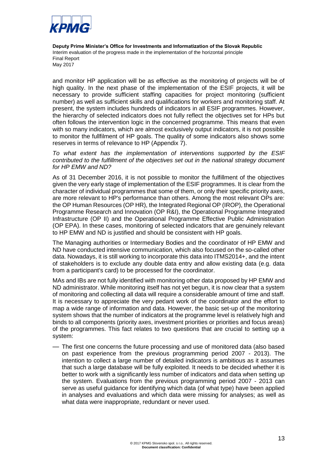

and monitor HP application will be as effective as the monitoring of projects will be of high quality. In the next phase of the implementation of the ESIF projects, it will be necessary to provide sufficient staffing capacities for project monitoring (sufficient number) as well as sufficient skills and qualifications for workers and monitoring staff. At present, the system includes hundreds of indicators in all ESIF programmes. However, the hierarchy of selected indicators does not fully reflect the objectives set for HPs but often follows the intervention logic in the concerned programme. This means that even with so many indicators, which are almost exclusively output indicators, it is not possible to monitor the fullfilment of HP goals. The quality of some indicators also shows some reserves in terms of relevance to HP (Appendix 7).

*To what extent has the implementation of interventions supported by the ESIF contributed to the fulfillment of the objectives set out in the national strategy document for HP EMW and ND?*

As of 31 December 2016, it is not possible to monitor the fulfillment of the objectives given the very early stage of implementation of the ESIF programmes. It is clear from the character of individual programmes that some of them, or only their specific priority axes, are more relevant to HP's performance than others. Among the most relevant OPs are: the OP Human Resources (OP HR), the Integrated Regional OP (IROP), the Operational Programme Research and Innovation (OP R&I), the Operational Programme Integrated Infrastructure (OP II) and the Operational Programme Effective Public Administration (OP EPA). In these cases, monitoring of selected indicators that are genuinely relevant to HP EMW and ND is justified and should be consistent with HP goals.

The Managing authorities or Intermediary Bodies and the coordinator of HP EMW and ND have conducted intensive communication, which also focused on the so-called other data. Nowadays, it is still working to incorporate this data into ITMS2014+, and the intent of stakeholders is to exclude any double data entry and allow existing data (e.g. data from a participant's card) to be processed for the coordinator.

MAs and IBs are not fully identified with monitoring other data proposed by HP EMW and ND administrator. While monitoring itself has not yet begun, it is now clear that a system of monitoring and collecting all data will require a considerable amount of time and staff. It is necessary to appreciate the very pedant work of the coordinator and the effort to map a wide range of information and data. However, the basic set-up of the monitoring system shows that the number of indicators at the programme level is relatively high and binds to all components (priority axes, investment priorities or priorities and focus areas) of the programmes. This fact relates to two questions that are crucial to setting up a system:

— The first one concerns the future processing and use of monitored data (also based on past experience from the previous programming period 2007 - 2013). The intention to collect a large number of detailed indicators is ambitious as it assumes that such a large database will be fully exploited. It needs to be decided whether it is better to work with a significantly less number of indicators and data when setting up the system. Evaluations from the previous programming period 2007 - 2013 can serve as useful guidance for identifying which data (of what type) have been applied in analyses and evaluations and which data were missing for analyses; as well as what data were inappropriate, redundant or never used.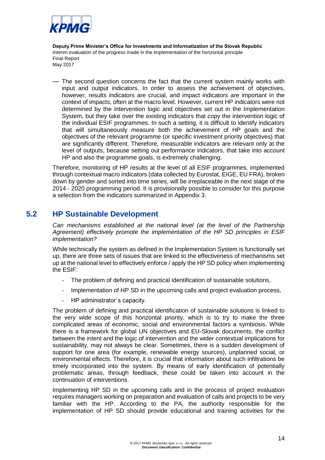

— The second question concerns the fact that the current system mainly works with input and output indicators. In order to assess the achievement of objectives, however, results indicators are crucial, and impact indicators are important in the context of impacts, often at the macro level. However, current HP indicators were not determined by the intervention logic and objectives set out in the Implementation System, but they take over the existing indicators that copy the intervention logic of the individual ESIF programmes. In such a setting, it is difficult to identify indicators that will simultaneously measure both the achievement of HP goals and the objectives of the relevant programme (or specific investment priority objectives) that are significantly different. Therefore, measurable indicators are relevant only at the level of outputs, because setting out performance indicators, that take into account HP and also the programme goals, is extremely challenging.

Therefore, monitoring of HP results at the level of all ESIF programmes, implemented through contextual macro indicators (data collected by Eurostat, EIGE, EU FRA), broken down by gender and sorted into time series, will be irreplaceable in the next stage of the 2014 - 2020 programming period. It is provisionally possible to consider for this purpose a selection from the indicators summarized in Appendix 3.

#### **5.2 HP Sustainable Development**

<span id="page-18-0"></span>*Can mechanisms established at the national level (at the level of the Partnership Agreement) effectively promote the implementation of the HP SD principles in ESIF implementation?*

While technically the system as defined in the Implementation System is functionally set up, there are three sets of issues that are linked to the effectiveness of mechanisms set up at the national level to effectively enforce / apply the HP SD policy when implementing the ESIF:

- The problem of defining and practical identification of sustainable solutions,
- Implementation of HP SD in the upcoming calls and project evaluation process,
- HP administrator's capacity.

The problem of defining and practical identification of sustainable solutions is linked to the very wide scope of this horizontal priority, which is to try to make the three complicated areas of economic, social and environmental factors a symbiosis. While there is a framework for global UN objectives and EU-Slovak documents, the conflict between the intent and the logic of intervention and the wider contextual implications for sustainability, may not always be clear. Sometimes, there is a sudden development of support for one area (for example, renewable energy sources), unplanned social, or environmental effects. Therefore, it is crucial that information about such infiltrations be timely incorporated into the system. By means of early identification of potentially problematic areas, through feedback, these could be taken into account in the continuation of interventions.

Implementing HP SD in the upcoming calls and in the process of project evaluation requires managers working on preparation and evaluation of calls and projects to be very familiar with the HP. According to the PA, the authority responsible for the implementation of HP SD should provide educational and training activities for the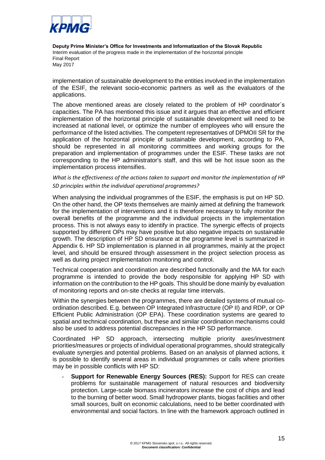

implementation of sustainable development to the entities involved in the implementation of the ESIF, the relevant socio-economic partners as well as the evaluators of the applications.

The above mentioned areas are closely related to the problem of HP coordinator´s capacities. The PA has mentioned this issue and it argues that an effective and efficient implementation of the horizontal principle of sustainable development will need to be increased at national level, or optimize the number of employees who will ensure the performance of the listed activities. The competent representatives of DPMOII SR for the application of the horizontal principle of sustainable development, according to PA, should be represented in all monitoring committees and working groups for the preparation and implementation of programmes under the ESIF. These tasks are not corresponding to the HP administrator's staff, and this will be hot issue soon as the implementation process intensifies.

#### *What is the effectiveness of the actions taken to support and monitor the implementation of HP SD principles within the individual operational programmes?*

When analysing the individual programmes of the ESIF, the emphasis is put on HP SD. On the other hand, the OP texts themselves are mainly aimed at defining the framework for the implementation of interventions and it is therefore necessary to fully monitor the overall benefits of the programme and the individual projects in the implementation process. This is not always easy to identify in practice. The synergic effects of projects supported by different OPs may have positive but also negative impacts on sustainable growth. The description of HP SD ensurance at the programme level is summarized in Appendix 6. HP SD implementation is planned in all programmes, mainly at the project level, and should be ensured through assessment in the project selection process as well as during project implementation monitoring and control.

Technical cooperation and coordination are described functionally and the MA for each programme is intended to provide the body responsible for applying HP SD with information on the contribution to the HP goals. This should be done mainly by evaluation of monitoring reports and on-site checks at regular time intervals.

Within the synergies between the programmes, there are detailed systems of mutual coordination described. E.g. between OP Integrated Infrastructure (OP II) and RDP, or OP Efficient Public Administration (OP EPA). These coordination systems are geared to spatial and technical coordination, but these and similar coordination mechanisms could also be used to address potential discrepancies in the HP SD performance.

Coordinated HP SD approach, intersecting multiple priority axes/investment priorities/measures or projects of individual operational programmes, should strategically evaluate synergies and potential problems. Based on an analysis of planned actions, it is possible to identify several areas in individual programmes or calls where priorities may be in possible conflicts with HP SD:

- **Support for Renewable Energy Sources (RES):** Support for RES can create problems for sustainable management of natural resources and biodiversity protection. Large-scale biomass incinerators increase the cost of chips and lead to the burning of better wood. Small hydropower plants, biogas facilities and other small sources, built on economic calculations, need to be better coordinated with environmental and social factors. In line with the framework approach outlined in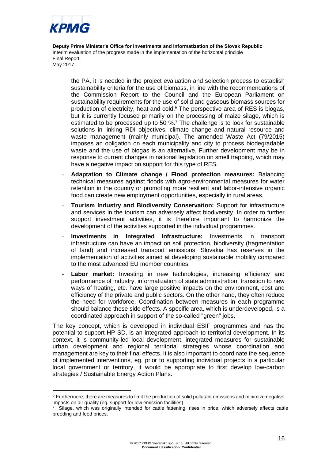

-

**Deputy Prime Minister's Office for Investments and Informatization of the Slovak Republic** Interim evaluation of the progress made in the implementation of the horizontal principle  $\mathsf F$ inal Report $\mathsf F$ May 2017 Final Report

the PA, it is needed in the project evaluation and selection process to establish sustainability criteria for the use of biomass, in line with the recommendations of the Commission Report to the Council and the European Parliament on sustainability requirements for the use of solid and gaseous biomass sources for production of electricity, heat and cold.<sup>6</sup> The perspective area of RES is biogas, but it is currently focused primarily on the processing of maize silage, which is estimated to be processed up to 50 %.<sup>7</sup> The challenge is to look for sustainable solutions in linking RDI objectives, climate change and natural resource and waste management (mainly municipal). The amended Waste Act (79/2015) imposes an obligation on each municipality and city to process biodegradable waste and the use of biogas is an alternative. Further development may be in response to current changes in national legislation on smell trapping, which may have a negative impact on support for this type of RES.

- **Adaptation to Climate change / Flood protection measures:** Balancing technical measures against floods with agro-environmental measures for water retention in the country or promoting more resilient and labor-intensive organic food can create new employment opportunities, especially in rural areas.
- **Tourism Industry and Biodiversity Conservation:** Support for infrastructure and services in the tourism can adversely affect biodiversity. In order to further support investment activities, it is therefore important to harmonize the development of the activities supported in the individual programmes.
- **Investments in Integrated Infrastructure:** Investments in transport infrastructure can have an impact on soil protection, biodiversity (fragmentation of land) and increased transport emissions. Slovakia has reserves in the implementation of activities aimed at developing sustainable mobility compared to the most advanced EU member countries.
- Labor market: Investing in new technologies, increasing efficiency and performance of industry, informatization of state administration, transition to new ways of heating, etc. have large positive impacts on the environment, cost and efficiency of the private and public sectors. On the other hand, they often reduce the need for workforce. Coordination between measures in each programme should balance these side effects. A specific area, which is underdeveloped, is a coordinated approach in support of the so-called "green" jobs.

The key concept, which is developed in individual ESIF programmes and has the potential to support HP SD, is an integrated approach to territorial development. In its context, it is community-led local development, integrated measures for sustainable urban development and regional territorial strategies whose coordination and management are key to their final effects. It is also important to coordinate the sequence of implemented interventions, eg. prior to supporting individual projects in a particular local government or territory, it would be appropriate to first develop low-carbon strategies / Sustainable Energy Action Plans.

<sup>6</sup> Furthermore, there are measures to limit the production of solid pollutant emissions and minimize negative impacts on air quality (eg. support for low emission facilities).

<sup>7</sup> Silage, which was originally intended for cattle fattening, rises in price, which adversely affects cattle breeding and feed prices.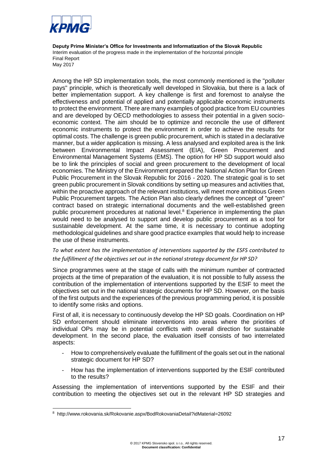

Among the HP SD implementation tools, the most commonly mentioned is the "polluter pays" principle, which is theoretically well developed in Slovakia, but there is a lack of better implementation support. A key challenge is first and foremost to analyse the effectiveness and potential of applied and potentially applicable economic instruments to protect the environment. There are many examples of good practice from EU countries and are developed by OECD methodologies to assess their potential in a given socioeconomic context. The aim should be to optimize and reconcile the use of different economic instruments to protect the environment in order to achieve the results for optimal costs. The challenge is green public procurement, which is stated in a declarative manner, but a wider application is missing. A less analysed and exploited area is the link between Environmental Impact Assessment (EIA), Green Procurement and Environmental Management Systems (EMS). The option for HP SD support would also be to link the principles of social and green procurement to the development of local economies. The Ministry of the Environment prepared the National Action Plan for Green Public Procurement in the Slovak Republic for 2016 - 2020. The strategic goal is to set green public procurement in Slovak conditions by setting up measures and activities that, within the proactive approach of the relevant institutions, will meet more ambitious Green Public Procurement targets. The Action Plan also clearly defines the concept of "green" contract based on strategic international documents and the well-established green public procurement procedures at national level.<sup>8</sup> Experience in implementing the plan would need to be analysed to support and develop public procurement as a tool for sustainable development. At the same time, it is necessary to continue adopting methodological guidelines and share good practice examples that would help to increase the use of these instruments.

#### *To what extent has the implementation of interventions supported by the ESFS contributed to the fulfillment of the objectives set out in the national strategy document for HP SD?*

Since programmes were at the stage of calls with the minimum number of contracted projects at the time of preparation of the evaluation, it is not possible to fully assess the contribution of the implementation of interventions supported by the ESIF to meet the objectives set out in the national strategic documents for HP SD. However, on the basis of the first outputs and the experiences of the previous programming period, it is possible to identify some risks and options.

First of all, it is necessary to continuously develop the HP SD goals. Coordination on HP SD enforcement should eliminate interventions into areas where the priorities of individual OPs may be in potential conflicts with overall direction for sustainable development. In the second place, the evaluation itself consists of two interrelated aspects:

- How to comprehensively evaluate the fulfillment of the goals set out in the national strategic document for HP SD?
- How has the implementation of interventions supported by the ESIF contributed to the results?

Assessing the implementation of interventions supported by the ESIF and their contribution to meeting the objectives set out in the relevant HP SD strategies and

1

<sup>8</sup> http://www.rokovania.sk/Rokovanie.aspx/BodRokovaniaDetail?idMaterial=26092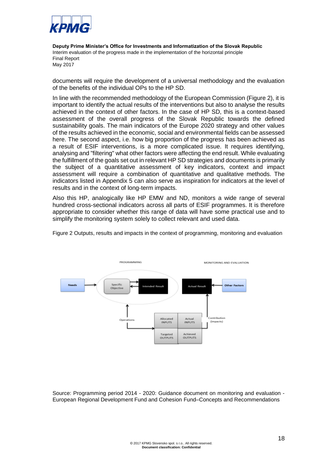

documents will require the development of a universal methodology and the evaluation of the benefits of the individual OPs to the HP SD.

In line with the recommended methodology of the European Commission (Figure 2), it is important to identify the actual results of the interventions but also to analyse the results achieved in the context of other factors. In the case of HP SD, this is a context-based assessment of the overall progress of the Slovak Republic towards the defined sustainability goals. The main indicators of the Europe 2020 strategy and other values of the results achieved in the economic, social and environmental fields can be assessed here. The second aspect, i.e. how big proportion of the progress has been achieved as a result of ESIF interventions, is a more complicated issue. It requires identifying, analysing and "filtering" what other factors were affecting the end result. While evaluating the fulfillment of the goals set out in relevant HP SD strategies and documents is primarily the subject of a quantitative assessment of key indicators, context and impact assessment will require a combination of quantitative and qualitative methods. The indicators listed in Appendix 5 can also serve as inspiration for indicators at the level of results and in the context of long-term impacts.

Also this HP, analogically like HP EMW and ND, monitors a wide range of several hundred cross-sectional indicators across all parts of ESIF programmes. It is therefore appropriate to consider whether this range of data will have some practical use and to simplify the monitoring system solely to collect relevant and used data.





Source: Programming period 2014 - 2020: Guidance document on monitoring and evaluation - European Regional Development Fund and Cohesion Fund–Concepts and Recommendations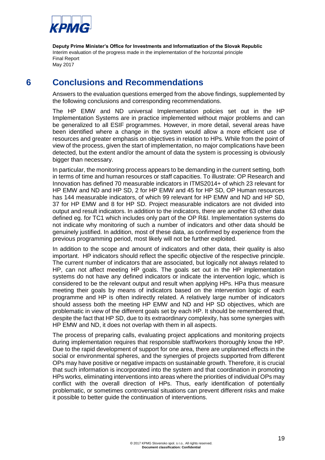

## **6 Conclusions and Recommendations**

<span id="page-23-0"></span>Answers to the evaluation questions emerged from the above findings, supplemented by the following conclusions and corresponding recommendations.

The HP EMW and ND universal Implementation policies set out in the HP Implementation Systems are in practice implemented without major problems and can be generalized to all ESIF programmes. However, in more detail, several areas have been identified where a change in the system would allow a more efficient use of resources and greater emphasis on objectives in relation to HPs. While from the point of view of the process, given the start of implementation, no major complications have been detected, but the extent and/or the amount of data the system is processing is obviously bigger than necessary.

In particular, the monitoring process appears to be demanding in the current setting, both in terms of time and human resources or staff capacities. To illustrate: OP Research and Innovation has defined 70 measurable indicators in ITMS2014+ of which 23 relevant for HP EMW and ND and HP SD, 2 for HP EMW and 45 for HP SD, OP Human resources has 144 measurable indicators, of which 99 relevant for HP EMW and ND and HP SD, 37 for HP EMW and 8 for HP SD. Project measurable indicators are not divided into output and result indicators. In addition to the indicators, there are another 63 other data defined eg. for TC1 which includes only part of the OP R&I. Implementation systems do not indicate why monitoring of such a number of indicators and other data should be genuinely justified. In addition, most of these data, as confirmed by experience from the previous programming period, most likely will not be further exploited.

In addition to the scope and amount of indicators and other data, their quality is also important. HP indicators should reflect the specific objective of the respective principle. The current number of indicators that are associated, but logically not always related to HP, can not affect meeting HP goals. The goals set out in the HP implementation systems do not have any defined indicators or indicate the intervention logic, which is considered to be the relevant output and result when applying HPs. HPa thus measure meeting their goals by means of indicators based on the intervention logic of each programme and HP is often indirectly related. A relatively large number of indicators should assess both the meeting HP EMW and ND and HP SD objectives, which are problematic in view of the different goals set by each HP. It should be remembered that, despite the fact that HP SD, due to its extraordinary complexity, has some synergies with HP EMW and ND, it does not overlap with them in all aspects.

The process of preparing calls, evaluating project applications and monitoring projects during implementation requires that responsible staff/workers thoroughly know the HP. Due to the rapid development of support for one area, there are unplanned effects in the social or environmental spheres, and the synergies of projects supported from different OPs may have positive or negative impacts on sustainable growth. Therefore, it is crucial that such information is incorporated into the system and that coordination in promoting HPs works, eliminating interventions into areas where the priorities of individual OPs may conflict with the overall direction of HPs. Thus, early identification of potentially problematic, or sometimes controversial situations can prevent different risks and make it possible to better guide the continuation of interventions.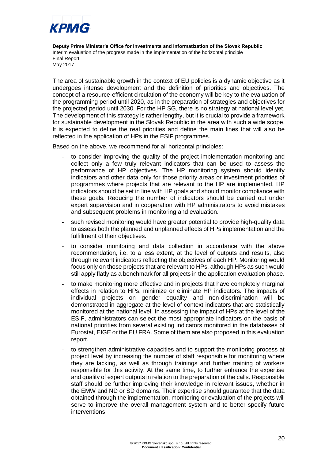

The area of sustainable growth in the context of EU policies is a dynamic objective as it undergoes intense development and the definition of priorities and objectives. The concept of a resource-efficient circulation of the economy will be key to the evaluation of the programming period until 2020, as in the preparation of strategies and objectives for the projected period until 2030. For the HP SG, there is no strategy at national level yet. The development of this strategy is rather lengthy, but it is crucial to provide a framework for sustainable development in the Slovak Republic in the area with such a wide scope. It is expected to define the real priorities and define the main lines that will also be reflected in the application of HPs in the ESIF programmes.

Based on the above, we recommend for all horizontal principles:

- to consider improving the quality of the project implementation monitoring and collect only a few truly relevant indicators that can be used to assess the performance of HP objectives. The HP monitoring system should identify indicators and other data only for those priority areas or investment priorities of programmes where projects that are relevant to the HP are implemented. HP indicators should be set in line with HP goals and should monitor compliance with these goals. Reducing the number of indicators should be carried out under expert supervision and in cooperation with HP administrators to avoid mistakes and subsequent problems in monitoring and evaluation.
- such revised monitoring would have greater potential to provide high-quality data to assess both the planned and unplanned effects of HPs implementation and the fulfillment of their objectives.
- to consider monitoring and data collection in accordance with the above recommendation, i.e. to a less extent, at the level of outputs and results, also through relevant indicators reflecting the objectives of each HP. Monitoring would focus only on those projects that are relevant to HPs, although HPs as such would still apply flatly as a benchmark for all projects in the application evaluation phase.
- to make monitoring more effective and in projects that have completely marginal effects in relation to HPs, minimize or eliminate HP indicators. The impacts of individual projects on gender equality and non-discrimination will be demonstrated in aggregate at the level of context indicators that are statistically monitored at the national level. In assessing the impact of HPs at the level of the ESIF, administrators can select the most appropriate indicators on the basis of national priorities from several existing indicators monitored in the databases of Eurostat, EIGE or the EU FRA. Some of them are also proposed in this evaluation report.
- to strengthen administrative capacities and to support the monitoring process at project level by increasing the number of staff responsible for monitoring where they are lacking, as well as through trainings and further training of workers responsible for this activity. At the same time, to further enhance the expertise and quality of expert outputs in relation to the preparation of the calls. Responsible staff should be further improving their knowledge in relevant issues, whether in the EMW and ND or SD domains. Their expertise should guarantee that the data obtained through the implementation, monitoring or evaluation of the projects will serve to improve the overall management system and to better specify future interventions.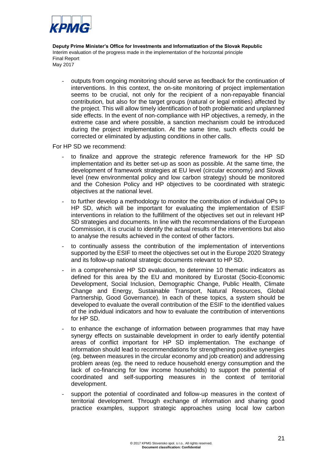

- outputs from ongoing monitoring should serve as feedback for the continuation of interventions. In this context, the on-site monitoring of project implementation seems to be crucial, not only for the recipient of a non-repayable financial contribution, but also for the target groups (natural or legal entities) affected by the project. This will allow timely identification of both problematic and unplanned side effects. In the event of non-compliance with HP objectives, a remedy, in the extreme case and where possible, a sanction mechanism could be introduced during the project implementation. At the same time, such effects could be corrected or eliminated by adjusting conditions in other calls.

For HP SD we recommend:

- to finalize and approve the strategic reference framework for the HP SD implementation and its better set-up as soon as possible. At the same time, the development of framework strategies at EU level (circular economy) and Slovak level (new environmental policy and low carbon strategy) should be monitored and the Cohesion Policy and HP objectives to be coordinated with strategic objectives at the national level.
- to further develop a methodology to monitor the contribution of individual OPs to HP SD, which will be important for evaluating the implementation of ESIF interventions in relation to the fulfillment of the objectives set out in relevant HP SD strategies and documents. In line with the recommendations of the European Commission, it is crucial to identify the actual results of the interventions but also to analyse the results achieved in the context of other factors.
- to continually assess the contribution of the implementation of interventions supported by the ESIF to meet the objectives set out in the Europe 2020 Strategy and its follow-up national strategic documents relevant to HP SD.
- in a comprehensive HP SD evaluation, to determine 10 thematic indicators as defined for this area by the EU and monitored by Eurostat (Socio-Economic Development, Social Inclusion, Demographic Change, Public Health, Climate Change and Energy, Sustainable Transport, Natural Resources, Global Partnership, Good Governance). In each of these topics, a system should be developed to evaluate the overall contribution of the ESIF to the identified values of the individual indicators and how to evaluate the contribution of interventions for HP SD.
- to enhance the exchange of information between programmes that may have synergy effects on sustainable development in order to early identify potential areas of conflict important for HP SD implementation. The exchange of information should lead to recommendations for strengthening positive synergies (eg. between measures in the circular economy and job creation) and addressing problem areas (eg. the need to reduce household energy consumption and the lack of co-financing for low income households) to support the potential of coordinated and self-supporting measures in the context of territorial development.
- support the potential of coordinated and follow-up measures in the context of territorial development. Through exchange of information and sharing good practice examples, support strategic approaches using local low carbon